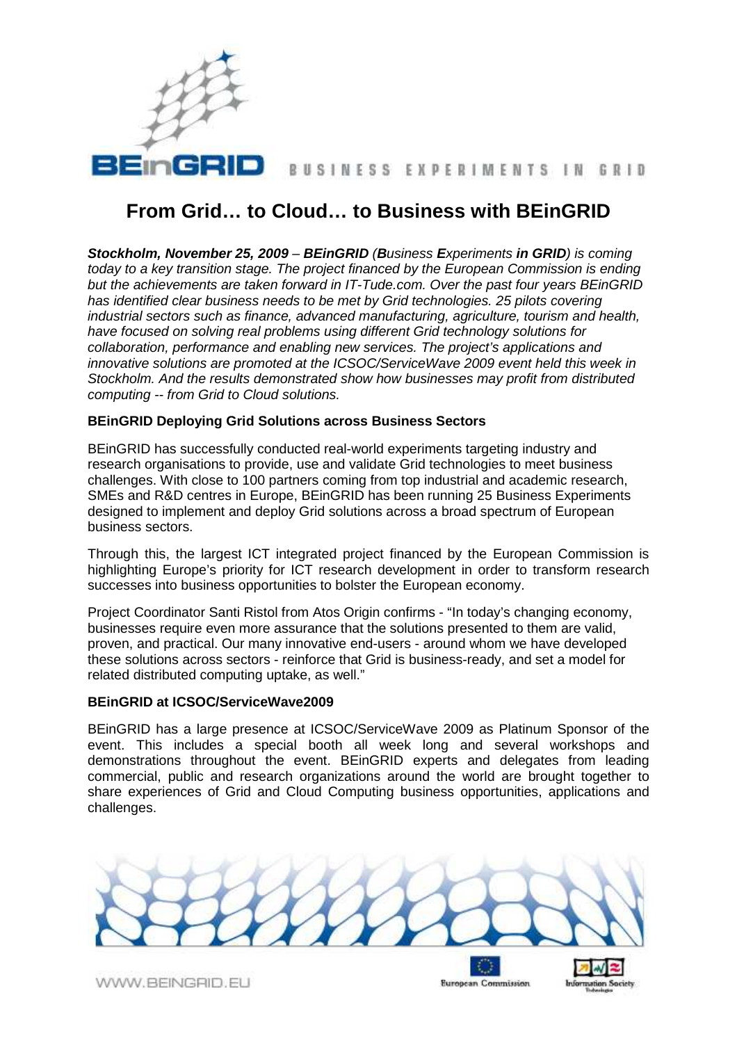

# BUSINESS EXPERIMENTS IN GRID

# **From Grid… to Cloud… to Business with BEinGRID**

**Stockholm, November 25, 2009** – **BEinGRID** (**B**usiness **E**xperiments **in GRID**) is coming today to a key transition stage. The project financed by the European Commission is ending but the achievements are taken forward in IT-Tude.com. Over the past four years BEinGRID has identified clear business needs to be met by Grid technologies. 25 pilots covering industrial sectors such as finance, advanced manufacturing, agriculture, tourism and health, have focused on solving real problems using different Grid technology solutions for collaboration, performance and enabling new services. The project's applications and innovative solutions are promoted at the ICSOC/ServiceWave 2009 event held this week in Stockholm. And the results demonstrated show how businesses may profit from distributed computing -- from Grid to Cloud solutions.

# **BEinGRID Deploying Grid Solutions across Business Sectors**

BEinGRID has successfully conducted real-world experiments targeting industry and research organisations to provide, use and validate Grid technologies to meet business challenges. With close to 100 partners coming from top industrial and academic research, SMEs and R&D centres in Europe, BEinGRID has been running 25 Business Experiments designed to implement and deploy Grid solutions across a broad spectrum of European business sectors.

Through this, the largest ICT integrated project financed by the European Commission is highlighting Europe's priority for ICT research development in order to transform research successes into business opportunities to bolster the European economy.

Project Coordinator Santi Ristol from Atos Origin confirms - "In today's changing economy, businesses require even more assurance that the solutions presented to them are valid, proven, and practical. Our many innovative end-users - around whom we have developed these solutions across sectors - reinforce that Grid is business-ready, and set a model for related distributed computing uptake, as well."

#### **BEinGRID at ICSOC/ServiceWave2009**

BEinGRID has a large presence at ICSOC/ServiceWave 2009 as Platinum Sponsor of the event. This includes a special booth all week long and several workshops and demonstrations throughout the event. BEinGRID experts and delegates from leading commercial, public and research organizations around the world are brought together to share experiences of Grid and Cloud Computing business opportunities, applications and challenges.

WWW.BEINGRID.EU

**European Commission**